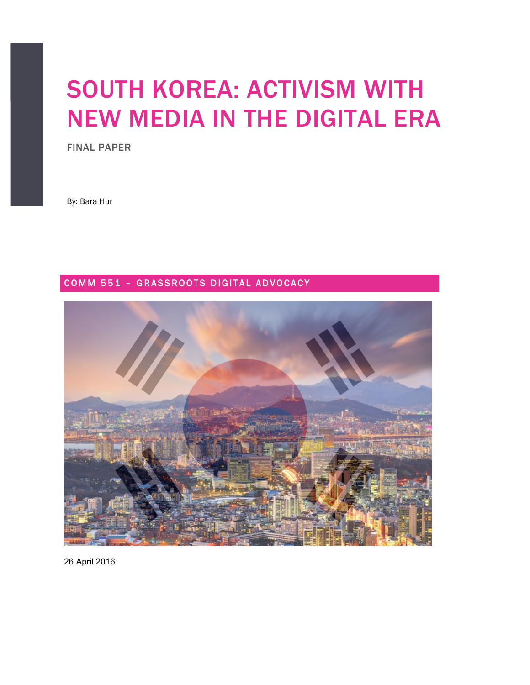# SOUTH KOREA: ACTIVISM WITH NEW MEDIA IN THE DIGITAL ERA

FINAL PAPER

By: Bara Hur

## COMM 551 - GRASSROOTS DIGITAL ADVOCACY



26 April 2016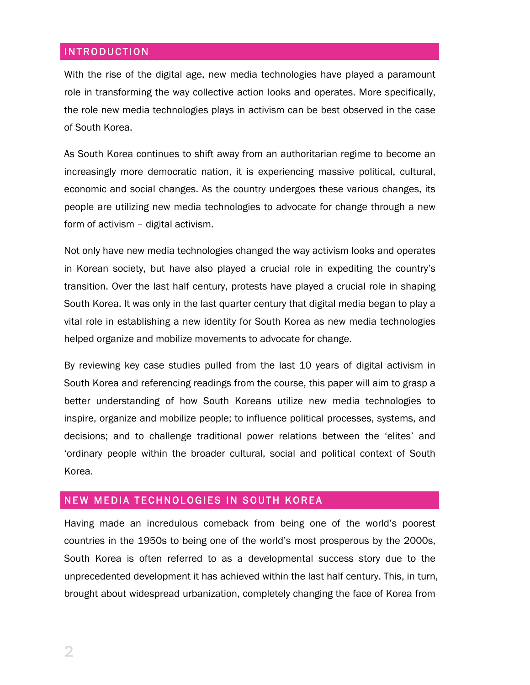## INTRODUCTION

With the rise of the digital age, new media technologies have played a paramount role in transforming the way collective action looks and operates. More specifically, the role new media technologies plays in activism can be best observed in the case of South Korea.

As South Korea continues to shift away from an authoritarian regime to become an increasingly more democratic nation, it is experiencing massive political, cultural, economic and social changes. As the country undergoes these various changes, its people are utilizing new media technologies to advocate for change through a new form of activism – digital activism.

Not only have new media technologies changed the way activism looks and operates in Korean society, but have also played a crucial role in expediting the country's transition. Over the last half century, protests have played a crucial role in shaping South Korea. It was only in the last quarter century that digital media began to play a vital role in establishing a new identity for South Korea as new media technologies helped organize and mobilize movements to advocate for change.

By reviewing key case studies pulled from the last 10 years of digital activism in South Korea and referencing readings from the course, this paper will aim to grasp a better understanding of how South Koreans utilize new media technologies to inspire, organize and mobilize people; to influence political processes, systems, and decisions; and to challenge traditional power relations between the 'elites' and 'ordinary people within the broader cultural, social and political context of South Korea.

## NEW MEDIA TECHNOLOGIES IN SOUTH KOREA

Having made an incredulous comeback from being one of the world's poorest countries in the 1950s to being one of the world's most prosperous by the 2000s, South Korea is often referred to as a developmental success story due to the unprecedented development it has achieved within the last half century. This, in turn, brought about widespread urbanization, completely changing the face of Korea from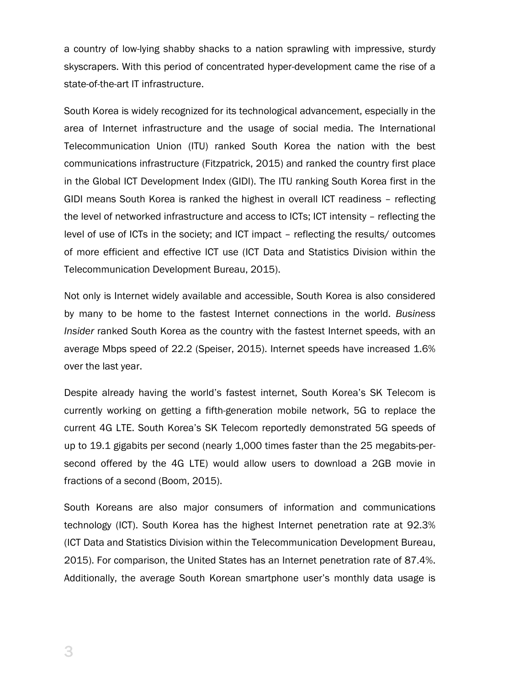a country of low-lying shabby shacks to a nation sprawling with impressive, sturdy skyscrapers. With this period of concentrated hyper-development came the rise of a state-of-the-art IT infrastructure.

South Korea is widely recognized for its technological advancement, especially in the area of Internet infrastructure and the usage of social media. The International Telecommunication Union (ITU) ranked South Korea the nation with the best communications infrastructure (Fitzpatrick, 2015) and ranked the country first place in the Global ICT Development Index (GIDI). The ITU ranking South Korea first in the GIDI means South Korea is ranked the highest in overall ICT readiness – reflecting the level of networked infrastructure and access to ICTs; ICT intensity – reflecting the level of use of ICTs in the society; and ICT impact – reflecting the results/ outcomes of more efficient and effective ICT use (ICT Data and Statistics Division within the Telecommunication Development Bureau, 2015).

Not only is Internet widely available and accessible, South Korea is also considered by many to be home to the fastest Internet connections in the world. *Business Insider* ranked South Korea as the country with the fastest Internet speeds, with an average Mbps speed of 22.2 (Speiser, 2015). Internet speeds have increased 1.6% over the last year.

Despite already having the world's fastest internet, South Korea's SK Telecom is currently working on getting a fifth-generation mobile network, 5G to replace the current 4G LTE. South Korea's SK Telecom reportedly demonstrated 5G speeds of up to 19.1 gigabits per second (nearly 1,000 times faster than the 25 megabits-persecond offered by the 4G LTE) would allow users to download a 2GB movie in fractions of a second (Boom, 2015).

South Koreans are also major consumers of information and communications technology (ICT). South Korea has the highest Internet penetration rate at 92.3% (ICT Data and Statistics Division within the Telecommunication Development Bureau, 2015). For comparison, the United States has an Internet penetration rate of 87.4%. Additionally, the average South Korean smartphone user's monthly data usage is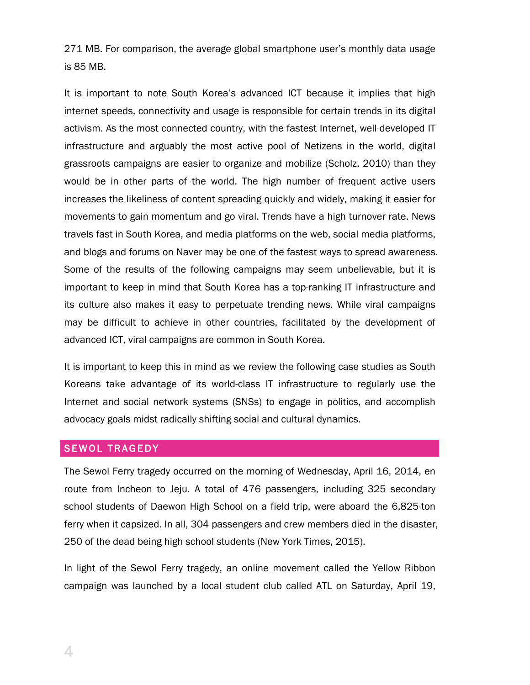271 MB. For comparison, the average global smartphone user's monthly data usage is 85 MB.

It is important to note South Korea's advanced ICT because it implies that high internet speeds, connectivity and usage is responsible for certain trends in its digital activism. As the most connected country, with the fastest Internet, well-developed IT infrastructure and arguably the most active pool of Netizens in the world, digital grassroots campaigns are easier to organize and mobilize (Scholz, 2010) than they would be in other parts of the world. The high number of frequent active users increases the likeliness of content spreading quickly and widely, making it easier for movements to gain momentum and go viral. Trends have a high turnover rate. News travels fast in South Korea, and media platforms on the web, social media platforms, and blogs and forums on Naver may be one of the fastest ways to spread awareness. Some of the results of the following campaigns may seem unbelievable, but it is important to keep in mind that South Korea has a top-ranking IT infrastructure and its culture also makes it easy to perpetuate trending news. While viral campaigns may be difficult to achieve in other countries, facilitated by the development of advanced ICT, viral campaigns are common in South Korea.

It is important to keep this in mind as we review the following case studies as South Koreans take advantage of its world-class IT infrastructure to regularly use the Internet and social network systems (SNSs) to engage in politics, and accomplish advocacy goals midst radically shifting social and cultural dynamics.

## SEWOL TRAGEDY

The Sewol Ferry tragedy occurred on the morning of Wednesday, April 16, 2014, en route from Incheon to Jeju. A total of 476 passengers, including 325 secondary school students of Daewon High School on a field trip, were aboard the 6,825-ton ferry when it capsized. In all, 304 passengers and crew members died in the disaster, 250 of the dead being high school students (New York Times, 2015).

In light of the Sewol Ferry tragedy, an online movement called the Yellow Ribbon campaign was launched by a local student club called ATL on Saturday, April 19,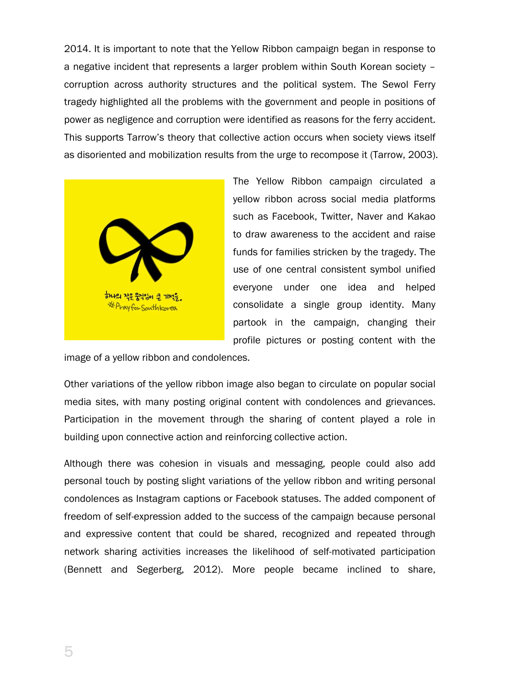2014. It is important to note that the Yellow Ribbon campaign began in response to a negative incident that represents a larger problem within South Korean society – corruption across authority structures and the political system. The Sewol Ferry tragedy highlighted all the problems with the government and people in positions of power as negligence and corruption were identified as reasons for the ferry accident. This supports Tarrow's theory that collective action occurs when society views itself as disoriented and mobilization results from the urge to recompose it (Tarrow, 2003).



The Yellow Ribbon campaign circulated a yellow ribbon across social media platforms such as Facebook, Twitter, Naver and Kakao to draw awareness to the accident and raise funds for families stricken by the tragedy. The use of one central consistent symbol unified everyone under one idea and helped consolidate a single group identity. Many partook in the campaign, changing their profile pictures or posting content with the

image of a yellow ribbon and condolences.

Other variations of the yellow ribbon image also began to circulate on popular social media sites, with many posting original content with condolences and grievances. Participation in the movement through the sharing of content played a role in building upon connective action and reinforcing collective action.

Although there was cohesion in visuals and messaging, people could also add personal touch by posting slight variations of the yellow ribbon and writing personal condolences as Instagram captions or Facebook statuses. The added component of freedom of self-expression added to the success of the campaign because personal and expressive content that could be shared, recognized and repeated through network sharing activities increases the likelihood of self-motivated participation (Bennett and Segerberg, 2012). More people became inclined to share,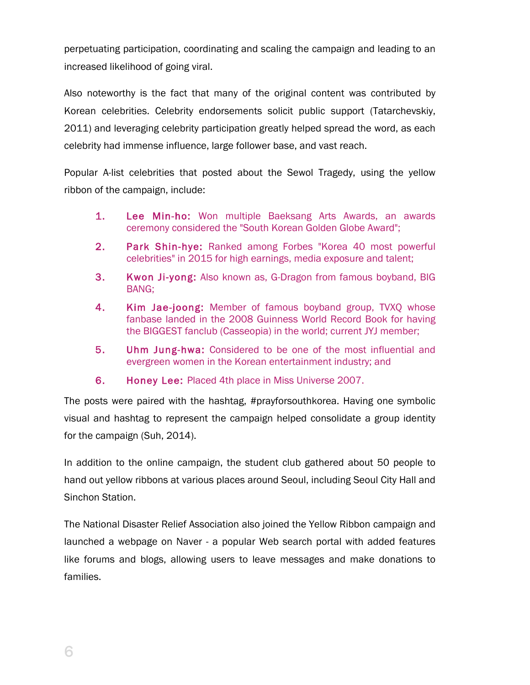perpetuating participation, coordinating and scaling the campaign and leading to an increased likelihood of going viral.

Also noteworthy is the fact that many of the original content was contributed by Korean celebrities. Celebrity endorsements solicit public support (Tatarchevskiy, 2011) and leveraging celebrity participation greatly helped spread the word, as each celebrity had immense influence, large follower base, and vast reach.

Popular A-list celebrities that posted about the Sewol Tragedy, using the yellow ribbon of the campaign, include:

- 1. Lee Min-ho: Won multiple Baeksang Arts Awards, an awards ceremony considered the "South Korean Golden Globe Award";
- 2. Park Shin-hye: Ranked among Forbes "Korea 40 most powerful celebrities" in 2015 for high earnings, media exposure and talent;
- 3. Kwon Ji-yong: Also known as, G-Dragon from famous boyband, BIG BANG;
- 4. Kim Jae-joong: Member of famous boyband group, TVXQ whose fanbase landed in the 2008 Guinness World Record Book for having the BIGGEST fanclub (Casseopia) in the world; current JYJ member;
- 5. Uhm Jung-hwa: Considered to be one of the most influential and evergreen women in the Korean entertainment industry; and
- 6. Honey Lee: Placed 4th place in Miss Universe 2007.

The posts were paired with the hashtag, #prayforsouthkorea. Having one symbolic visual and hashtag to represent the campaign helped consolidate a group identity for the campaign (Suh, 2014).

In addition to the online campaign, the student club gathered about 50 people to hand out yellow ribbons at various places around Seoul, including Seoul City Hall and Sinchon Station.

The National Disaster Relief Association also joined the Yellow Ribbon campaign and launched a webpage on Naver - a popular Web search portal with added features like forums and blogs, allowing users to leave messages and make donations to families.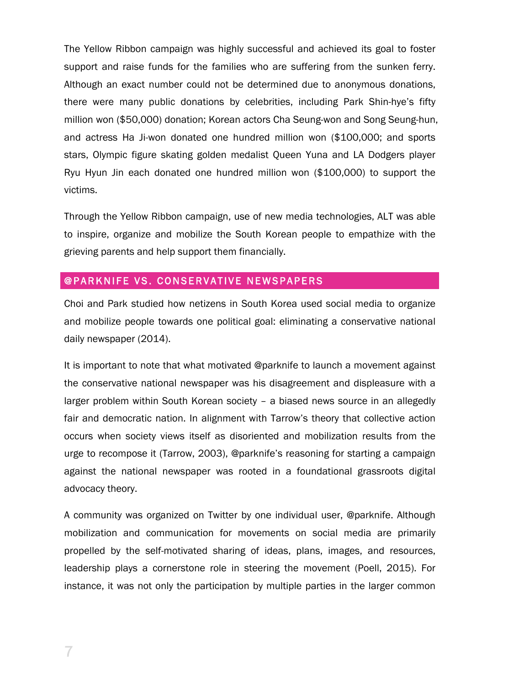The Yellow Ribbon campaign was highly successful and achieved its goal to foster support and raise funds for the families who are suffering from the sunken ferry. Although an exact number could not be determined due to anonymous donations, there were many public donations by celebrities, including Park Shin-hye's fifty million won (\$50,000) donation; Korean actors Cha Seung-won and Song Seung-hun, and actress Ha Ji-won donated one hundred million won (\$100,000; and sports stars, Olympic figure skating golden medalist Queen Yuna and LA Dodgers player Ryu Hyun Jin each donated one hundred million won (\$100,000) to support the victims.

Through the Yellow Ribbon campaign, use of new media technologies, ALT was able to inspire, organize and mobilize the South Korean people to empathize with the grieving parents and help support them financially.

### @PARKNIFE VS. CONSERVATIVE NEWSPAPERS

Choi and Park studied how netizens in South Korea used social media to organize and mobilize people towards one political goal: eliminating a conservative national daily newspaper (2014).

It is important to note that what motivated @parknife to launch a movement against the conservative national newspaper was his disagreement and displeasure with a larger problem within South Korean society – a biased news source in an allegedly fair and democratic nation. In alignment with Tarrow's theory that collective action occurs when society views itself as disoriented and mobilization results from the urge to recompose it (Tarrow, 2003), @parknife's reasoning for starting a campaign against the national newspaper was rooted in a foundational grassroots digital advocacy theory.

A community was organized on Twitter by one individual user, @parknife. Although mobilization and communication for movements on social media are primarily propelled by the self-motivated sharing of ideas, plans, images, and resources, leadership plays a cornerstone role in steering the movement (Poell, 2015). For instance, it was not only the participation by multiple parties in the larger common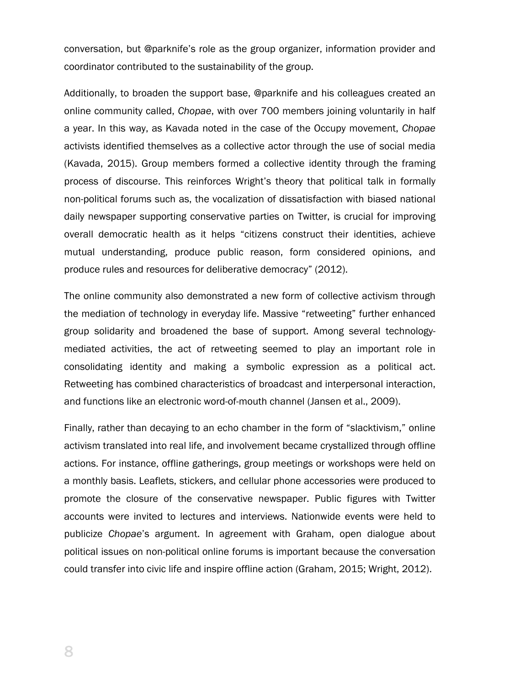conversation, but @parknife's role as the group organizer, information provider and coordinator contributed to the sustainability of the group.

Additionally, to broaden the support base, @parknife and his colleagues created an online community called, *Chopae*, with over 700 members joining voluntarily in half a year. In this way, as Kavada noted in the case of the Occupy movement, *Chopae*  activists identified themselves as a collective actor through the use of social media (Kavada, 2015). Group members formed a collective identity through the framing process of discourse. This reinforces Wright's theory that political talk in formally non-political forums such as, the vocalization of dissatisfaction with biased national daily newspaper supporting conservative parties on Twitter, is crucial for improving overall democratic health as it helps "citizens construct their identities, achieve mutual understanding, produce public reason, form considered opinions, and produce rules and resources for deliberative democracy" (2012).

The online community also demonstrated a new form of collective activism through the mediation of technology in everyday life. Massive "retweeting" further enhanced group solidarity and broadened the base of support. Among several technologymediated activities, the act of retweeting seemed to play an important role in consolidating identity and making a symbolic expression as a political act. Retweeting has combined characteristics of broadcast and interpersonal interaction, and functions like an electronic word-of-mouth channel (Jansen et al., 2009).

Finally, rather than decaying to an echo chamber in the form of "slacktivism," online activism translated into real life, and involvement became crystallized through offline actions. For instance, offline gatherings, group meetings or workshops were held on a monthly basis. Leaflets, stickers, and cellular phone accessories were produced to promote the closure of the conservative newspaper. Public figures with Twitter accounts were invited to lectures and interviews. Nationwide events were held to publicize *Chopae*'s argument. In agreement with Graham, open dialogue about political issues on non-political online forums is important because the conversation could transfer into civic life and inspire offline action (Graham, 2015; Wright, 2012).

8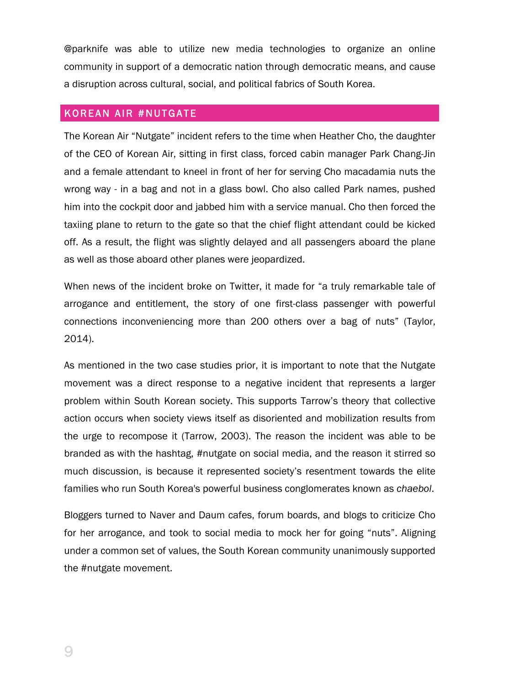@parknife was able to utilize new media technologies to organize an online community in support of a democratic nation through democratic means, and cause a disruption across cultural, social, and political fabrics of South Korea.

#### KOREAN AIR #NUTGATE

The Korean Air "Nutgate" incident refers to the time when Heather Cho, the daughter of the CEO of Korean Air, sitting in first class, forced cabin manager Park Chang-Jin and a female attendant to kneel in front of her for serving Cho macadamia nuts the wrong way - in a bag and not in a glass bowl. Cho also called Park names, pushed him into the cockpit door and jabbed him with a service manual. Cho then forced the taxiing plane to return to the gate so that the chief flight attendant could be kicked off. As a result, the flight was slightly delayed and all passengers aboard the plane as well as those aboard other planes were jeopardized.

When news of the incident broke on Twitter, it made for "a truly remarkable tale of arrogance and entitlement, the story of one first-class passenger with powerful connections inconveniencing more than 200 others over a bag of nuts" (Taylor, 2014).

As mentioned in the two case studies prior, it is important to note that the Nutgate movement was a direct response to a negative incident that represents a larger problem within South Korean society. This supports Tarrow's theory that collective action occurs when society views itself as disoriented and mobilization results from the urge to recompose it (Tarrow, 2003). The reason the incident was able to be branded as with the hashtag, #nutgate on social media, and the reason it stirred so much discussion, is because it represented society's resentment towards the elite families who run South Korea's powerful business conglomerates known as *chaebol*.

Bloggers turned to Naver and Daum cafes, forum boards, and blogs to criticize Cho for her arrogance, and took to social media to mock her for going "nuts". Aligning under a common set of values, the South Korean community unanimously supported the #nutgate movement.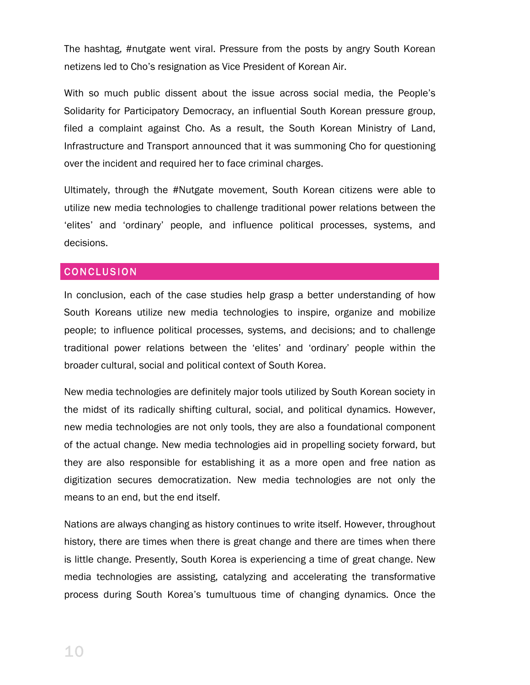The hashtag, #nutgate went viral. Pressure from the posts by angry South Korean netizens led to Cho's resignation as Vice President of Korean Air.

With so much public dissent about the issue across social media, the People's Solidarity for Participatory Democracy, an influential South Korean pressure group, filed a complaint against Cho. As a result, the South Korean Ministry of Land, Infrastructure and Transport announced that it was summoning Cho for questioning over the incident and required her to face criminal charges.

Ultimately, through the #Nutgate movement, South Korean citizens were able to utilize new media technologies to challenge traditional power relations between the 'elites' and 'ordinary' people, and influence political processes, systems, and decisions.

#### CONCLUSION

In conclusion, each of the case studies help grasp a better understanding of how South Koreans utilize new media technologies to inspire, organize and mobilize people; to influence political processes, systems, and decisions; and to challenge traditional power relations between the 'elites' and 'ordinary' people within the broader cultural, social and political context of South Korea.

New media technologies are definitely major tools utilized by South Korean society in the midst of its radically shifting cultural, social, and political dynamics. However, new media technologies are not only tools, they are also a foundational component of the actual change. New media technologies aid in propelling society forward, but they are also responsible for establishing it as a more open and free nation as digitization secures democratization. New media technologies are not only the means to an end, but the end itself.

Nations are always changing as history continues to write itself. However, throughout history, there are times when there is great change and there are times when there is little change. Presently, South Korea is experiencing a time of great change. New media technologies are assisting, catalyzing and accelerating the transformative process during South Korea's tumultuous time of changing dynamics. Once the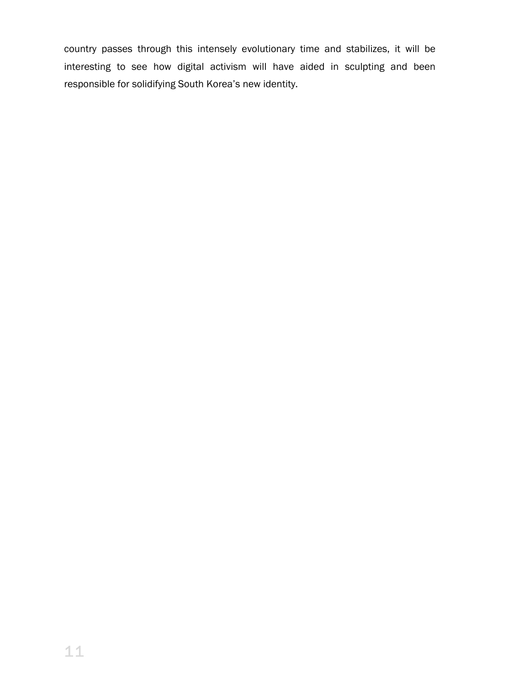country passes through this intensely evolutionary time and stabilizes, it will be interesting to see how digital activism will have aided in sculpting and been responsible for solidifying South Korea's new identity.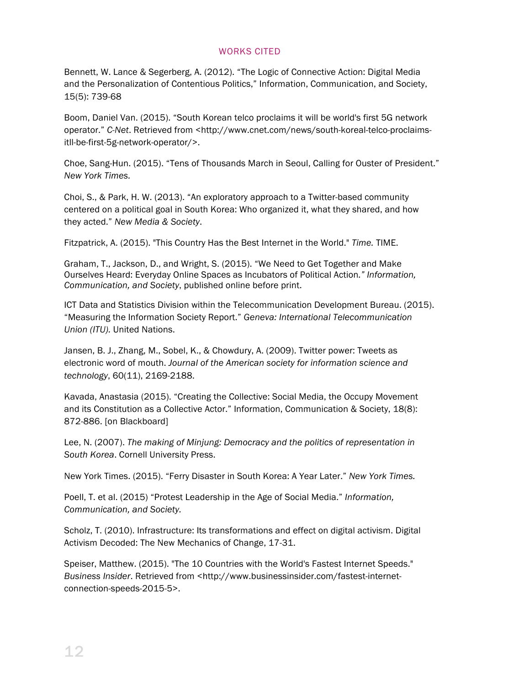#### WORKS CITED

Bennett, W. Lance & Segerberg, A. (2012). "The Logic of Connective Action: Digital Media and the Personalization of Contentious Politics," Information, Communication, and Society, 15(5): 739-68

Boom, Daniel Van. (2015). "South Korean telco proclaims it will be world's first 5G network operator." *C-Net*. Retrieved from <http://www.cnet.com/news/south-koreal-telco-proclaimsitll-be-first-5g-network-operator/>.

Choe, Sang-Hun. (2015). "Tens of Thousands March in Seoul, Calling for Ouster of President." *New York Times.*

Choi, S., & Park, H. W. (2013). "An exploratory approach to a Twitter-based community centered on a political goal in South Korea: Who organized it, what they shared, and how they acted." *New Media & Society*.

Fitzpatrick, A. (2015). "This Country Has the Best Internet in the World." *Time.* TIME.

Graham, T., Jackson, D., and Wright, S. (2015). "We Need to Get Together and Make Ourselves Heard: Everyday Online Spaces as Incubators of Political Action*." Information, Communication, and Society*, published online before print.

ICT Data and Statistics Division within the Telecommunication Development Bureau. (2015). "Measuring the Information Society Report." *Geneva: International Telecommunication Union (ITU).* United Nations.

Jansen, B. J., Zhang, M., Sobel, K., & Chowdury, A. (2009). Twitter power: Tweets as electronic word of mouth. *Journal of the American society for information science and technology*, 60(11), 2169-2188.

Kavada, Anastasia (2015). "Creating the Collective: Social Media, the Occupy Movement and its Constitution as a Collective Actor." Information, Communication & Society, 18(8): 872-886. [on Blackboard]

Lee, N. (2007). *The making of Minjung: Democracy and the politics of representation in South Korea*. Cornell University Press.

New York Times. (2015). "Ferry Disaster in South Korea: A Year Later." *New York Times.*

Poell, T. et al. (2015) "Protest Leadership in the Age of Social Media." *Information, Communication, and Society.* 

Scholz, T. (2010). Infrastructure: Its transformations and effect on digital activism. Digital Activism Decoded: The New Mechanics of Change, 17-31.

Speiser, Matthew. (2015). "The 10 Countries with the World's Fastest Internet Speeds." *Business Insider*. Retrieved from <http://www.businessinsider.com/fastest-internetconnection-speeds-2015-5>.